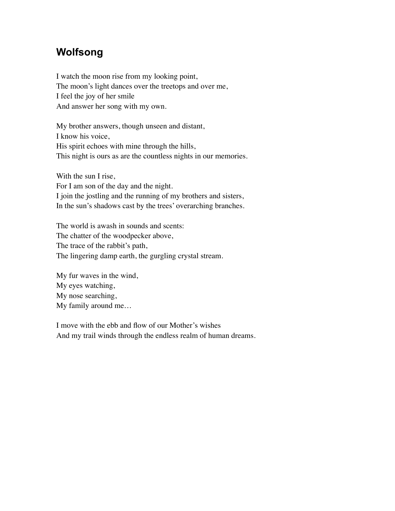## **Wolfsong**

I watch the moon rise from my looking point, The moon's light dances over the treetops and over me, I feel the joy of her smile And answer her song with my own.

My brother answers, though unseen and distant, I know his voice, His spirit echoes with mine through the hills, This night is ours as are the countless nights in our memories.

With the sun I rise, For I am son of the day and the night. I join the jostling and the running of my brothers and sisters, In the sun's shadows cast by the trees' overarching branches.

The world is awash in sounds and scents: The chatter of the woodpecker above, The trace of the rabbit's path, The lingering damp earth, the gurgling crystal stream.

My fur waves in the wind, My eyes watching, My nose searching, My family around me…

I move with the ebb and flow of our Mother's wishes And my trail winds through the endless realm of human dreams.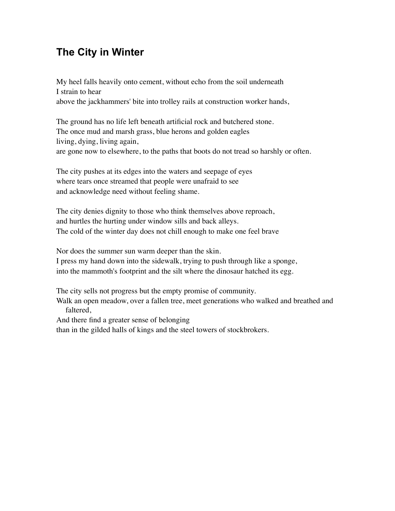## **The City in Winter**

My heel falls heavily onto cement, without echo from the soil underneath I strain to hear above the jackhammers' bite into trolley rails at construction worker hands,

The ground has no life left beneath artificial rock and butchered stone. The once mud and marsh grass, blue herons and golden eagles living, dying, living again, are gone now to elsewhere, to the paths that boots do not tread so harshly or often.

The city pushes at its edges into the waters and seepage of eyes where tears once streamed that people were unafraid to see and acknowledge need without feeling shame.

The city denies dignity to those who think themselves above reproach, and hurtles the hurting under window sills and back alleys. The cold of the winter day does not chill enough to make one feel brave

Nor does the summer sun warm deeper than the skin. I press my hand down into the sidewalk, trying to push through like a sponge, into the mammoth's footprint and the silt where the dinosaur hatched its egg.

The city sells not progress but the empty promise of community.

Walk an open meadow, over a fallen tree, meet generations who walked and breathed and faltered,

And there find a greater sense of belonging

than in the gilded halls of kings and the steel towers of stockbrokers.